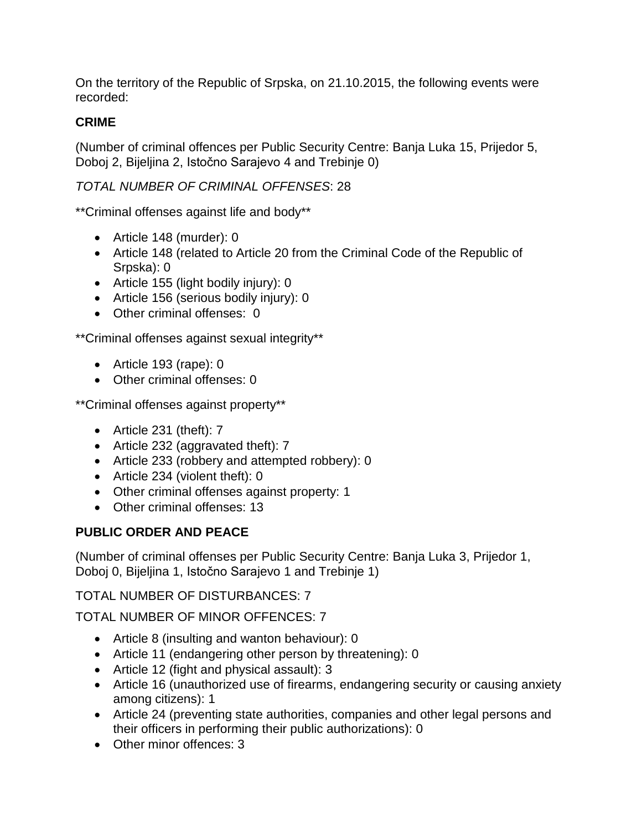On the territory of the Republic of Srpska, on 21.10.2015, the following events were recorded:

# **CRIME**

(Number of criminal offences per Public Security Centre: Banja Luka 15, Prijedor 5, Doboj 2, Bijeljina 2, Istočno Sarajevo 4 and Trebinje 0)

# *TOTAL NUMBER OF CRIMINAL OFFENSES*: 28

\*\*Criminal offenses against life and body\*\*

- Article 148 (murder): 0
- Article 148 (related to Article 20 from the Criminal Code of the Republic of Srpska): 0
- Article 155 (light bodily injury): 0
- Article 156 (serious bodily injury): 0
- Other criminal offenses: 0

\*\*Criminal offenses against sexual integrity\*\*

- Article 193 (rape): 0
- Other criminal offenses: 0

\*\*Criminal offenses against property\*\*

- Article 231 (theft): 7
- Article 232 (aggravated theft): 7
- Article 233 (robbery and attempted robbery): 0
- Article 234 (violent theft): 0
- Other criminal offenses against property: 1
- Other criminal offenses: 13

# **PUBLIC ORDER AND PEACE**

(Number of criminal offenses per Public Security Centre: Banja Luka 3, Prijedor 1, Doboj 0, Bijeljina 1, Istočno Sarajevo 1 and Trebinje 1)

TOTAL NUMBER OF DISTURBANCES: 7

TOTAL NUMBER OF MINOR OFFENCES: 7

- Article 8 (insulting and wanton behaviour): 0
- Article 11 (endangering other person by threatening): 0
- Article 12 (fight and physical assault): 3
- Article 16 (unauthorized use of firearms, endangering security or causing anxiety among citizens): 1
- Article 24 (preventing state authorities, companies and other legal persons and their officers in performing their public authorizations): 0
- Other minor offences: 3